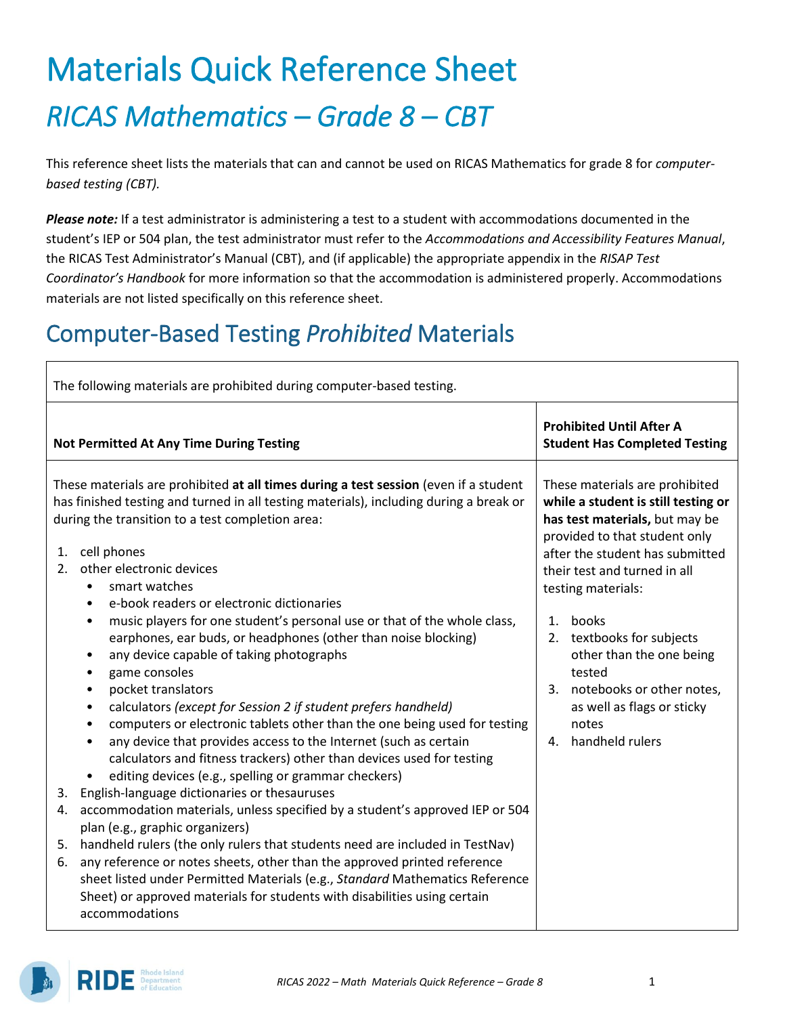# Materials Quick Reference Sheet *RICAS Mathematics – Grade 8 – CBT*

This reference sheet lists the materials that can and cannot be used on RICAS Mathematics for grade 8 for *computerbased testing (CBT).*

*Please note:* If a test administrator is administering a test to a student with accommodations documented in the student's IEP or 504 plan, the test administrator must refer to the *Accommodations and Accessibility Features Manual*, the RICAS Test Administrator's Manual (CBT), and (if applicable) the appropriate appendix in the *RISAP Test Coordinator's Handbook* for more information so that the accommodation is administered properly. Accommodations materials are not listed specifically on this reference sheet.

### Computer-Based Testing *Prohibited* Materials

| The following materials are prohibited during computer-based testing.                                                                                                                                                                                                                                                                                                                                                                                                                                                                                                                                                                                                     |                                                                                                                                                                                                                                   |  |  |  |  |  |
|---------------------------------------------------------------------------------------------------------------------------------------------------------------------------------------------------------------------------------------------------------------------------------------------------------------------------------------------------------------------------------------------------------------------------------------------------------------------------------------------------------------------------------------------------------------------------------------------------------------------------------------------------------------------------|-----------------------------------------------------------------------------------------------------------------------------------------------------------------------------------------------------------------------------------|--|--|--|--|--|
| <b>Not Permitted At Any Time During Testing</b>                                                                                                                                                                                                                                                                                                                                                                                                                                                                                                                                                                                                                           | <b>Prohibited Until After A</b><br><b>Student Has Completed Testing</b>                                                                                                                                                           |  |  |  |  |  |
| These materials are prohibited at all times during a test session (even if a student<br>has finished testing and turned in all testing materials), including during a break or<br>during the transition to a test completion area:<br>cell phones<br>1.<br>other electronic devices<br>2.<br>smart watches<br>$\bullet$<br>e-book readers or electronic dictionaries<br>$\bullet$                                                                                                                                                                                                                                                                                         | These materials are prohibited<br>while a student is still testing or<br>has test materials, but may be<br>provided to that student only<br>after the student has submitted<br>their test and turned in all<br>testing materials: |  |  |  |  |  |
| music players for one student's personal use or that of the whole class,<br>٠<br>earphones, ear buds, or headphones (other than noise blocking)<br>any device capable of taking photographs<br>$\bullet$<br>game consoles<br>$\bullet$<br>pocket translators<br>$\bullet$<br>calculators (except for Session 2 if student prefers handheld)<br>$\bullet$<br>computers or electronic tablets other than the one being used for testing<br>$\bullet$<br>any device that provides access to the Internet (such as certain<br>٠<br>calculators and fitness trackers) other than devices used for testing<br>editing devices (e.g., spelling or grammar checkers)<br>$\bullet$ | books<br>1 <sup>1</sup><br>2. textbooks for subjects<br>other than the one being<br>tested<br>3. notebooks or other notes,<br>as well as flags or sticky<br>notes<br>4. handheld rulers                                           |  |  |  |  |  |
| English-language dictionaries or thesauruses<br>3.                                                                                                                                                                                                                                                                                                                                                                                                                                                                                                                                                                                                                        |                                                                                                                                                                                                                                   |  |  |  |  |  |
| accommodation materials, unless specified by a student's approved IEP or 504<br>4.<br>plan (e.g., graphic organizers)                                                                                                                                                                                                                                                                                                                                                                                                                                                                                                                                                     |                                                                                                                                                                                                                                   |  |  |  |  |  |
| handheld rulers (the only rulers that students need are included in TestNav)<br>5.<br>any reference or notes sheets, other than the approved printed reference<br>6.<br>sheet listed under Permitted Materials (e.g., Standard Mathematics Reference<br>Sheet) or approved materials for students with disabilities using certain<br>accommodations                                                                                                                                                                                                                                                                                                                       |                                                                                                                                                                                                                                   |  |  |  |  |  |

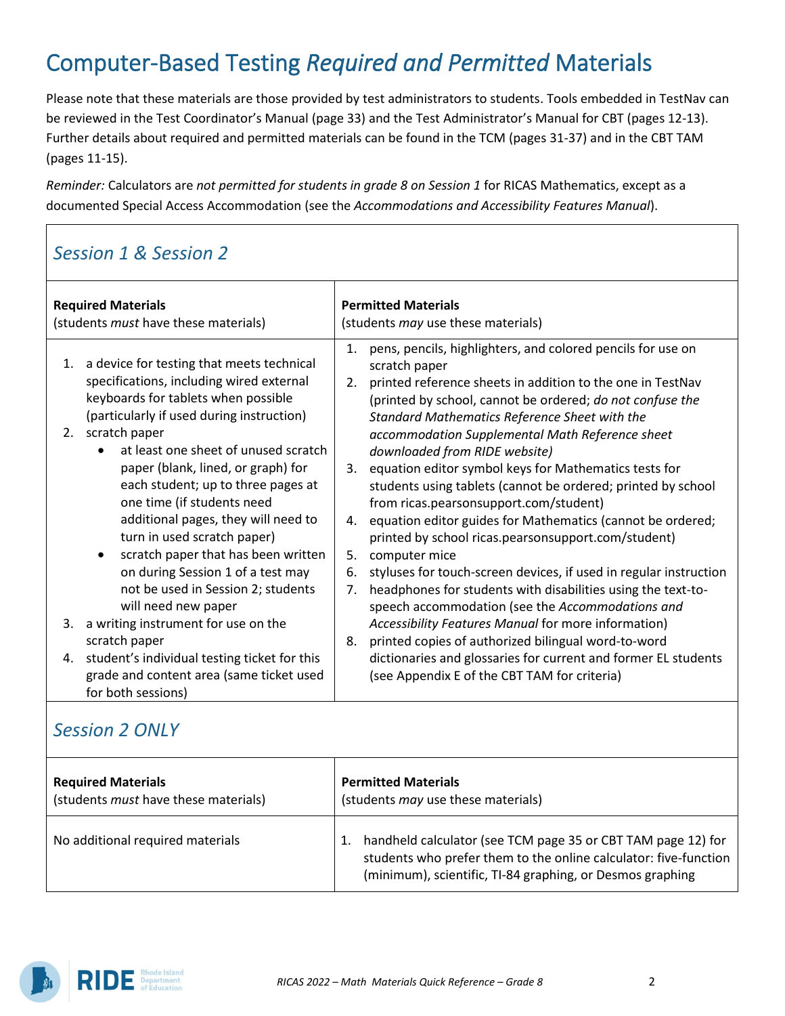## Computer-Based Testing *Required and Permitted* Materials

Please note that these materials are those provided by test administrators to students. Tools embedded in TestNav can be reviewed in the Test Coordinator's Manual (page 33) and the Test Administrator's Manual for CBT (pages 12-13). Further details about required and permitted materials can be found in the TCM (pages 31-37) and in the CBT TAM (pages 11-15).

*Reminder:* Calculators are *not permitted for students in grade 8 on Session 1* for RICAS Mathematics, except as a documented Special Access Accommodation (see the *Accommodations and Accessibility Features Manual*).

#### *Session 1 & Session 2*

| <b>Required Materials</b><br>(students <i>must</i> have these materials) |                                                                                                                                                                                                                                                                                                                                                                                                                                                                                                                                                                                       | <b>Permitted Materials</b><br>(students <i>may</i> use these materials) |                                                                                                                                                                                                                                                                                                                                                                                                                                                                                                                                                                                                                                                                                                                                                                                                                                                |  |
|--------------------------------------------------------------------------|---------------------------------------------------------------------------------------------------------------------------------------------------------------------------------------------------------------------------------------------------------------------------------------------------------------------------------------------------------------------------------------------------------------------------------------------------------------------------------------------------------------------------------------------------------------------------------------|-------------------------------------------------------------------------|------------------------------------------------------------------------------------------------------------------------------------------------------------------------------------------------------------------------------------------------------------------------------------------------------------------------------------------------------------------------------------------------------------------------------------------------------------------------------------------------------------------------------------------------------------------------------------------------------------------------------------------------------------------------------------------------------------------------------------------------------------------------------------------------------------------------------------------------|--|
| 1.<br>2.                                                                 | a device for testing that meets technical<br>specifications, including wired external<br>keyboards for tablets when possible<br>(particularly if used during instruction)<br>scratch paper<br>at least one sheet of unused scratch<br>$\bullet$<br>paper (blank, lined, or graph) for<br>each student; up to three pages at<br>one time (if students need<br>additional pages, they will need to<br>turn in used scratch paper)<br>scratch paper that has been written<br>$\bullet$<br>on during Session 1 of a test may<br>not be used in Session 2; students<br>will need new paper | 1.<br>2.<br>3.<br>4.<br>5.<br>6.<br>7.                                  | pens, pencils, highlighters, and colored pencils for use on<br>scratch paper<br>printed reference sheets in addition to the one in TestNav<br>(printed by school, cannot be ordered; do not confuse the<br>Standard Mathematics Reference Sheet with the<br>accommodation Supplemental Math Reference sheet<br>downloaded from RIDE website)<br>equation editor symbol keys for Mathematics tests for<br>students using tablets (cannot be ordered; printed by school<br>from ricas.pearsonsupport.com/student)<br>equation editor guides for Mathematics (cannot be ordered;<br>printed by school ricas.pearsonsupport.com/student)<br>computer mice<br>styluses for touch-screen devices, if used in regular instruction<br>headphones for students with disabilities using the text-to-<br>speech accommodation (see the Accommodations and |  |
| 3.                                                                       | a writing instrument for use on the                                                                                                                                                                                                                                                                                                                                                                                                                                                                                                                                                   |                                                                         | Accessibility Features Manual for more information)                                                                                                                                                                                                                                                                                                                                                                                                                                                                                                                                                                                                                                                                                                                                                                                            |  |
| 4.                                                                       | scratch paper<br>student's individual testing ticket for this                                                                                                                                                                                                                                                                                                                                                                                                                                                                                                                         | 8.                                                                      | printed copies of authorized bilingual word-to-word<br>dictionaries and glossaries for current and former EL students                                                                                                                                                                                                                                                                                                                                                                                                                                                                                                                                                                                                                                                                                                                          |  |
|                                                                          | grade and content area (same ticket used<br>for both sessions)                                                                                                                                                                                                                                                                                                                                                                                                                                                                                                                        |                                                                         | (see Appendix E of the CBT TAM for criteria)                                                                                                                                                                                                                                                                                                                                                                                                                                                                                                                                                                                                                                                                                                                                                                                                   |  |

#### *Session 2 ONLY*

| <b>Required Materials</b>                   | <b>Permitted Materials</b>                                                                                                                                                                    |
|---------------------------------------------|-----------------------------------------------------------------------------------------------------------------------------------------------------------------------------------------------|
| (students <i>must</i> have these materials) | (students <i>may</i> use these materials)                                                                                                                                                     |
| No additional required materials            | handheld calculator (see TCM page 35 or CBT TAM page 12) for<br>students who prefer them to the online calculator: five-function<br>(minimum), scientific, TI-84 graphing, or Desmos graphing |

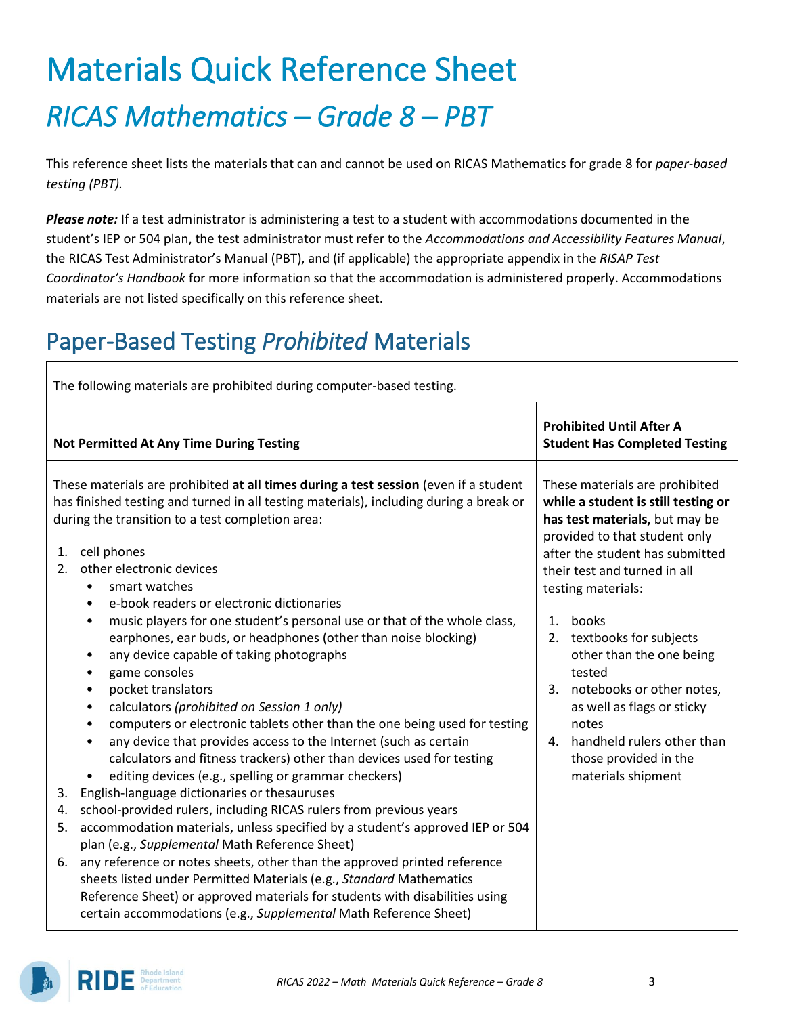# Materials Quick Reference Sheet *RICAS Mathematics – Grade 8 – PBT*

This reference sheet lists the materials that can and cannot be used on RICAS Mathematics for grade 8 for *paper-based testing (PBT).*

*Please note:* If a test administrator is administering a test to a student with accommodations documented in the student's IEP or 504 plan, the test administrator must refer to the *Accommodations and Accessibility Features Manual*, the RICAS Test Administrator's Manual (PBT), and (if applicable) the appropriate appendix in the *RISAP Test Coordinator's Handbook* for more information so that the accommodation is administered properly. Accommodations materials are not listed specifically on this reference sheet.

## Paper-Based Testing *Prohibited* Materials

| The following materials are prohibited during computer-based testing. |                                                                                                                                                                                                                                                                                                                                                                                                                                                                                                                                                                                                                                                          |                                                                                                                                                                                                                                          |  |  |
|-----------------------------------------------------------------------|----------------------------------------------------------------------------------------------------------------------------------------------------------------------------------------------------------------------------------------------------------------------------------------------------------------------------------------------------------------------------------------------------------------------------------------------------------------------------------------------------------------------------------------------------------------------------------------------------------------------------------------------------------|------------------------------------------------------------------------------------------------------------------------------------------------------------------------------------------------------------------------------------------|--|--|
|                                                                       | <b>Not Permitted At Any Time During Testing</b>                                                                                                                                                                                                                                                                                                                                                                                                                                                                                                                                                                                                          | <b>Prohibited Until After A</b><br><b>Student Has Completed Testing</b>                                                                                                                                                                  |  |  |
| 1.<br>2.                                                              | These materials are prohibited at all times during a test session (even if a student<br>has finished testing and turned in all testing materials), including during a break or<br>during the transition to a test completion area:<br>cell phones<br>other electronic devices<br>smart watches<br>$\bullet$<br>e-book readers or electronic dictionaries<br>$\bullet$                                                                                                                                                                                                                                                                                    | These materials are prohibited<br>while a student is still testing or<br>has test materials, but may be<br>provided to that student only<br>after the student has submitted<br>their test and turned in all<br>testing materials:        |  |  |
|                                                                       | music players for one student's personal use or that of the whole class,<br>$\bullet$<br>earphones, ear buds, or headphones (other than noise blocking)<br>any device capable of taking photographs<br>$\bullet$<br>game consoles<br>$\bullet$<br>pocket translators<br>$\bullet$<br>calculators (prohibited on Session 1 only)<br>$\bullet$<br>computers or electronic tablets other than the one being used for testing<br>$\bullet$<br>any device that provides access to the Internet (such as certain<br>$\bullet$<br>calculators and fitness trackers) other than devices used for testing<br>editing devices (e.g., spelling or grammar checkers) | books<br>1.<br>2. textbooks for subjects<br>other than the one being<br>tested<br>3. notebooks or other notes,<br>as well as flags or sticky<br>notes<br>handheld rulers other than<br>4.<br>those provided in the<br>materials shipment |  |  |
| 3.                                                                    | English-language dictionaries or thesauruses                                                                                                                                                                                                                                                                                                                                                                                                                                                                                                                                                                                                             |                                                                                                                                                                                                                                          |  |  |
| 4.<br>5.                                                              | school-provided rulers, including RICAS rulers from previous years<br>accommodation materials, unless specified by a student's approved IEP or 504<br>plan (e.g., Supplemental Math Reference Sheet)                                                                                                                                                                                                                                                                                                                                                                                                                                                     |                                                                                                                                                                                                                                          |  |  |
| 6.                                                                    | any reference or notes sheets, other than the approved printed reference<br>sheets listed under Permitted Materials (e.g., Standard Mathematics<br>Reference Sheet) or approved materials for students with disabilities using<br>certain accommodations (e.g., Supplemental Math Reference Sheet)                                                                                                                                                                                                                                                                                                                                                       |                                                                                                                                                                                                                                          |  |  |